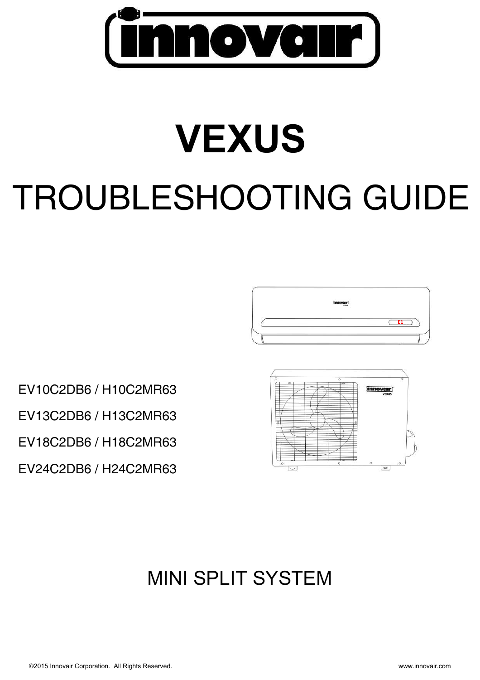

# **VEXUS** TROUBLESHOOTING GUIDE



EV10C2DB6 / H10C2MR63 EV13C2DB6 / H13C2MR63

EV18C2DB6 / H18C2MR63

EV24C2DB6 / H24C2MR63



# MINI SPLIT SYSTEM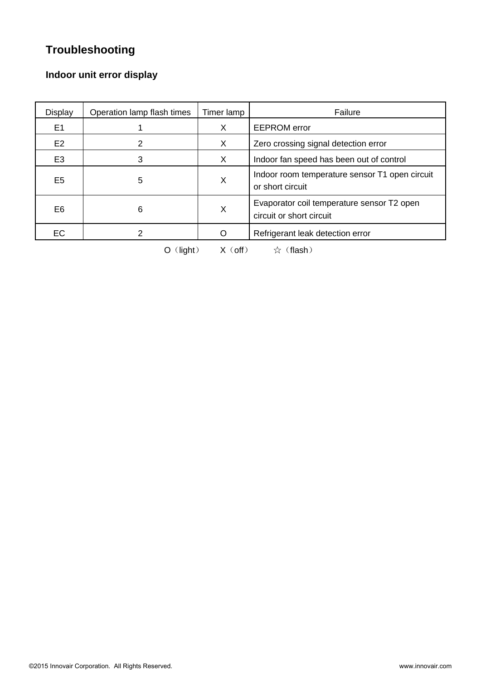# **Troubleshooting**

# **Indoor unit error display**

| Display        | Operation lamp flash times | Timer lamp | Failure                                                                |
|----------------|----------------------------|------------|------------------------------------------------------------------------|
| E1             |                            | X          | <b>EEPROM</b> error                                                    |
| E <sub>2</sub> | 2                          | X          | Zero crossing signal detection error                                   |
| E <sub>3</sub> | 3                          | X          | Indoor fan speed has been out of control                               |
| E <sub>5</sub> | 5                          | Χ          | Indoor room temperature sensor T1 open circuit<br>or short circuit     |
| E <sub>6</sub> | 6                          | X          | Evaporator coil temperature sensor T2 open<br>circuit or short circuit |
| EC             | 2                          | Ω          | Refrigerant leak detection error                                       |

 $O($ light)  $X($ off)  $\star$   $\star$  (flash)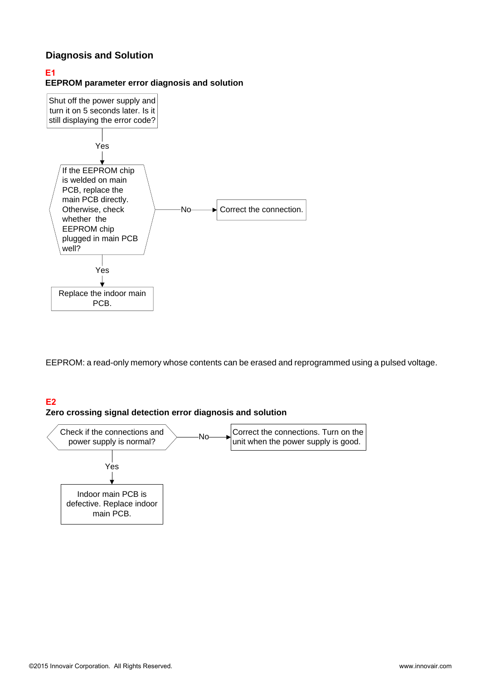## **Diagnosis and Solution**

#### **E1**

**EEPROM parameter error diagnosis and solution** 



EEPROM: a read-only memory whose contents can be erased and reprogrammed using a pulsed voltage.

## **E2**

#### **Zero crossing signal detection error diagnosis and solution**

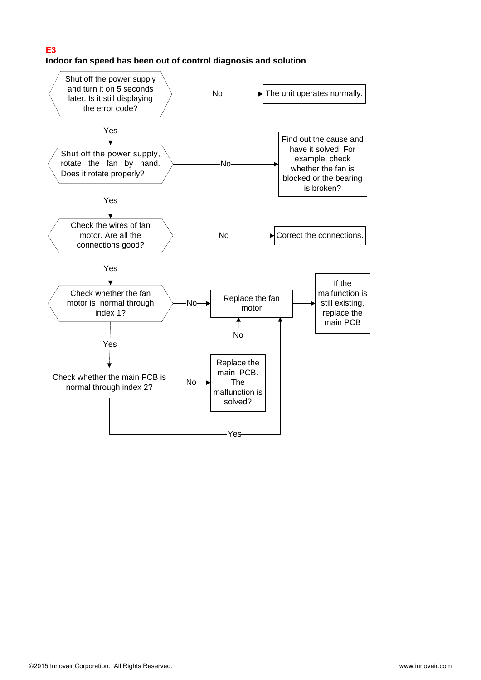#### **E3 Indoor fan speed has been out of control diagnosis and solution**

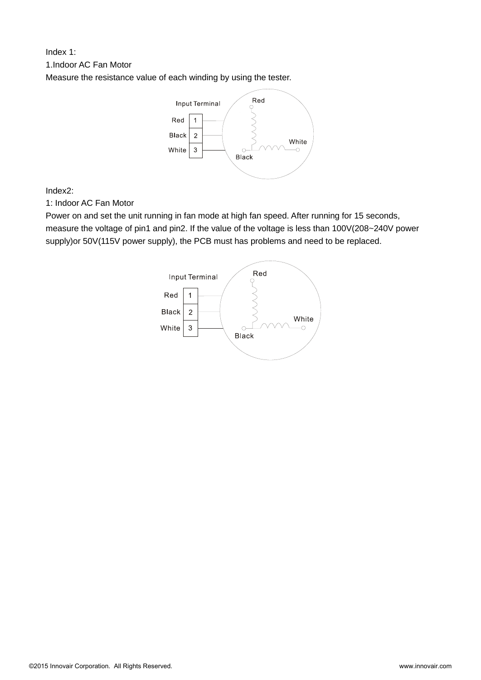# Index 1: 1.Indoor AC Fan Motor

Measure the resistance value of each winding by using the tester.



Index2:

1: Indoor AC Fan Motor

Power on and set the unit running in fan mode at high fan speed. After running for 15 seconds, measure the voltage of pin1 and pin2. If the value of the voltage is less than 100V(208~240V power supply)or 50V(115V power supply), the PCB must has problems and need to be replaced.

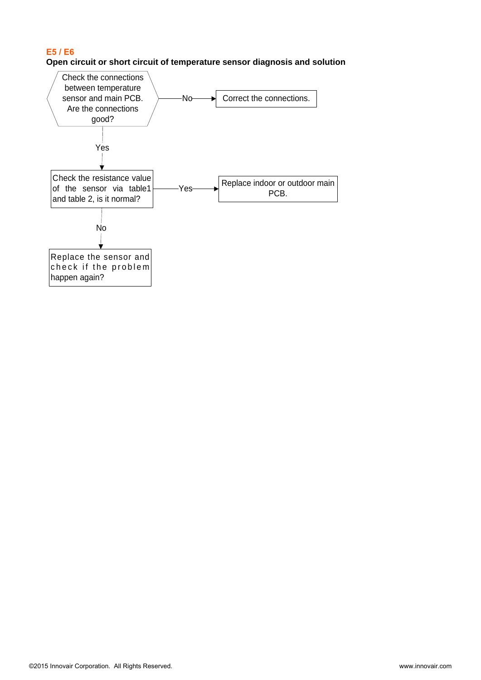#### **E5 / E6**

#### **Open circuit or short circuit of temperature sensor diagnosis and solution**

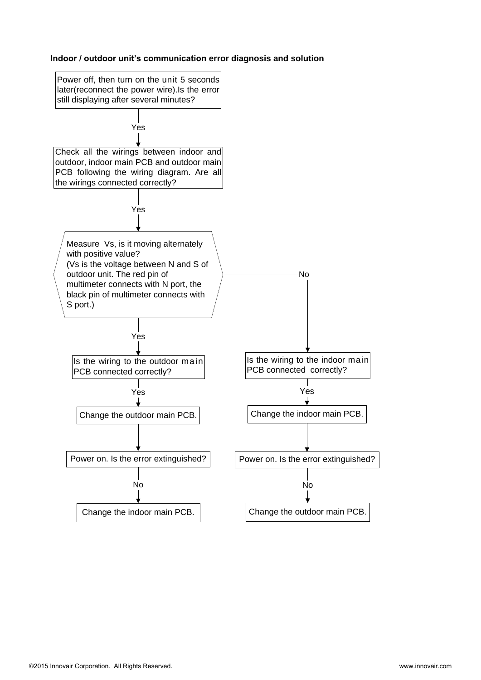#### **Indoor / outdoor unit's communication error diagnosis and solution**